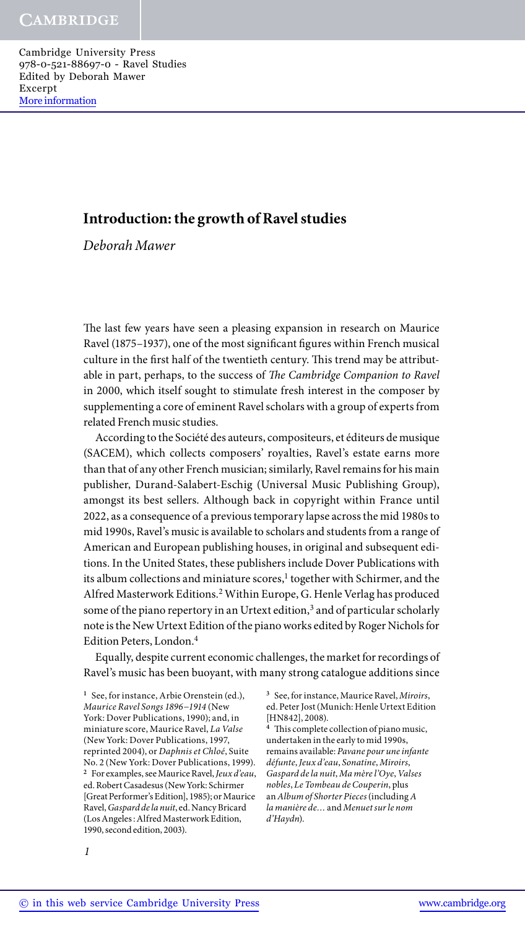# **Introduction: the growth of Ravel studies**

*Deborah Mawer*

The last few years have seen a pleasing expansion in research on Maurice Ravel (1875–1937), one of the most significant figures within French musical culture in the first half of the twentieth century. This trend may be attributable in part, perhaps, to the success of *The Cambridge Companion to Ravel* in 2000, which itself sought to stimulate fresh interest in the composer by supplementing a core of eminent Ravel scholars with a group of experts from related French music studies.

According to the Société des auteurs, compositeurs, et éditeurs de musique (SACEM), which collects composers' royalties, Ravel's estate earns more than that of any other French musician; similarly, Ravel remains for his main publisher, Durand-Salabert-Eschig (Universal Music Publishing Group), amongst its best sellers. Although back in copyright within France until 2022, as a consequence of a previous temporary lapse across the mid 1980s to mid 1990s, Ravel's music is available to scholars and students from a range of American and European publishing houses, in original and subsequent editions. In the United States, these publishers include Dover Publications with its album collections and miniature scores,<sup>1</sup> together with Schirmer, and the Alfred Masterwork Editions.2 Within Europe, G. Henle Verlag has produced some of the piano repertory in an Urtext edition,<sup>3</sup> and of particular scholarly note is the New Urtext Edition of the piano works edited by Roger Nichols for Edition Peters, London.4

Equally, despite current economic challenges, the market for recordings of Ravel's music has been buoyant, with many strong catalogue additions since

**<sup>1</sup>** See, for instance, Arbie Orenstein (ed.), *Maurice Ravel Songs 1896−1914* (New York: Dover Publications, 1990); and, in miniature score, Maurice Ravel, *La Valse* (New York: Dover Publications, 1997, reprinted 2004), or *Daphnis et Chloé*, Suite No. 2 (New York: Dover Publications, 1999). **<sup>2</sup>** For examples, see Maurice Ravel, *Jeux d'eau*, ed. Robert Casadesus (New York: Schirmer [Great Performer's Edition], 1985); or Maurice Ravel, *Gaspard de la nuit*, ed. Nancy Bricard (Los Angeles : Alfred Masterwork Edition, 1990, second edition, 2003).

**<sup>3</sup>** See, for instance, Maurice Ravel, *Miroirs*, ed. Peter Jost (Munich: Henle Urtext Edition [HN842], 2008).

**<sup>4</sup>** This complete collection of piano music, undertaken in the early to mid 1990s, remains available: *Pavane pour une infante défunte*,*Jeux d'eau*, *Sonatine*, *Miroirs*, *Gaspard de la nuit*, *Ma mère l'Oye*,*Valses nobles*, *Le Tombeau de Couperin*, plus an *Album of Shorter Pieces* (including *A la manière de…* and *Menuet sur le nom d'Haydn*).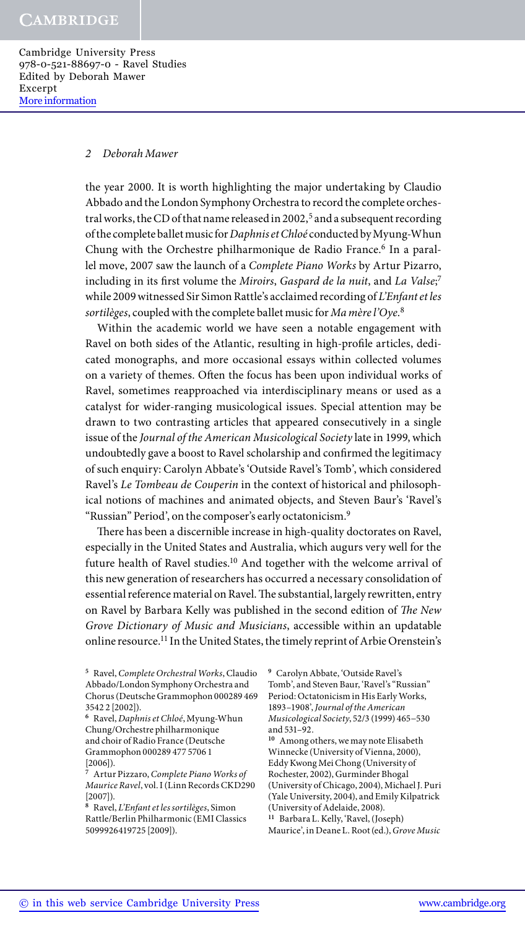## *2 Deborah Mawer*

the year 2000. It is worth highlighting the major undertaking by Claudio Abbado and the London Symphony Orchestra to record the complete orchestral works, the CD of that name released in 2002,<sup>5</sup> and a subsequent recording of the complete ballet music for *Daphnis et Chloé* conducted by Myung-Whun Chung with the Orchestre philharmonique de Radio France.<sup>6</sup> In a parallel move, 2007 saw the launch of a *Complete Piano Works* by Artur Pizarro, including in its first volume the *Miroirs*, *Gaspard de la nuit*, and *La Valse*; 7 while 2009 witnessed Sir Simon Rattle's acclaimed recording of *L'Enfant et les sortilèges*, coupled with the complete ballet music for *Ma mère l'Oye*. 8

Within the academic world we have seen a notable engagement with Ravel on both sides of the Atlantic, resulting in high-profile articles, dedicated monographs, and more occasional essays within collected volumes on a variety of themes. Often the focus has been upon individual works of Ravel, sometimes reapproached via interdisciplinary means or used as a catalyst for wider-ranging musicological issues. Special attention may be drawn to two contrasting articles that appeared consecutively in a single issue of the *Journal of the American Musicological Society* late in 1999, which undoubtedly gave a boost to Ravel scholarship and confirmed the legitimacy of such enquiry: Carolyn Abbate's 'Outside Ravel's Tomb', which considered Ravel's *Le Tombeau de Couperin* in the context of historical and philosophical notions of machines and animated objects, and Steven Baur's 'Ravel's "Russian" Period', on the composer's early octatonicism.9

There has been a discernible increase in high-quality doctorates on Ravel, especially in the United States and Australia, which augurs very well for the future health of Ravel studies.<sup>10</sup> And together with the welcome arrival of this new generation of researchers has occurred a necessary consolidation of essential reference material on Ravel. The substantial, largely rewritten, entry on Ravel by Barbara Kelly was published in the second edition of *The New Grove Dictionary of Music and Musicians*, accessible within an updatable online resource.<sup>11</sup> In the United States, the timely reprint of Arbie Orenstein's

**<sup>8</sup>** Ravel, *L'Enfant et les sortilèges*, Simon Rattle/Berlin Philharmonic (EMI Classics 5099926419725 [2009]).

**<sup>9</sup>** Carolyn Abbate, 'Outside Ravel's Tomb', and Steven Baur, 'Ravel's "Russian" Period: Octatonicism in His Early Works, 1893–1908', *Journal of the American Musicological Society*, 52/3 (1999) 465−530 and 531–92.

**<sup>10</sup>** Among others, we may note Elisabeth Winnecke (University of Vienna, 2000), Eddy Kwong Mei Chong (University of Rochester, 2002), Gurminder Bhogal (University of Chicago, 2004), Michael J. Puri (Yale University, 2004), and Emily Kilpatrick (University of Adelaide, 2008).

**<sup>11</sup>** Barbara L. Kelly, 'Ravel, (Joseph)

Maurice', in Deane L. Root (ed.), *Grove Music* 

**<sup>5</sup>** Ravel, *Complete Orchestral Works*, Claudio Abbado/London Symphony Orchestra and Chorus (Deutsche Grammophon 000289 469 3542 2 [2002]).

**<sup>6</sup>** Ravel, *Daphnis et Chloé*, Myung-Whun Chung/Orchestre philharmonique and choir of Radio France (Deutsche Grammophon 000289 477 5706 1 [2006]).

**<sup>7</sup>** Artur Pizzaro, *Complete Piano Works of Maurice Ravel*, vol. I (Linn Records CKD290 [2007]).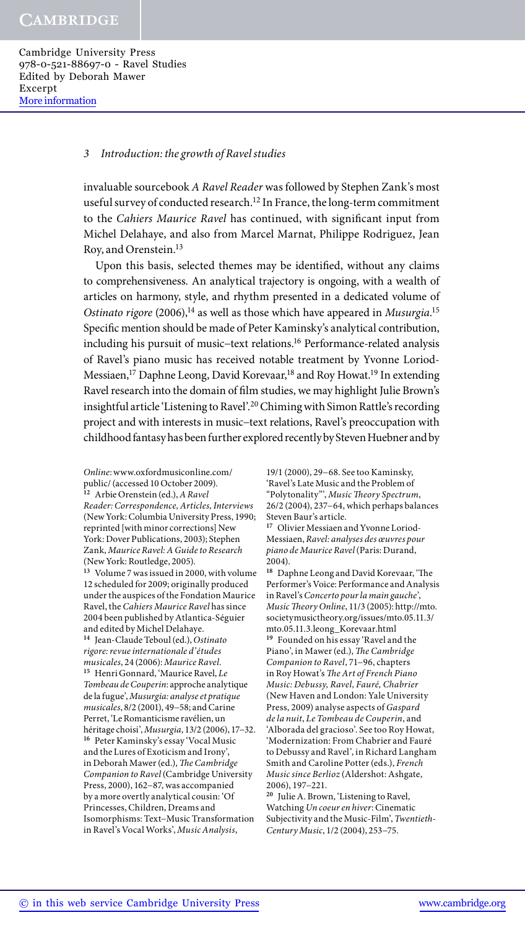## *3 Introduction: the growth of Ravel studies*

invaluable sourcebook *A Ravel Reader* was followed by Stephen Zank's most useful survey of conducted research.<sup>12</sup> In France, the long-term commitment to the *Cahiers Maurice Ravel* has continued, with significant input from Michel Delahaye, and also from Marcel Marnat, Philippe Rodriguez, Jean Roy, and Orenstein.13

Upon this basis, selected themes may be identified, without any claims to comprehensiveness. An analytical trajectory is ongoing, with a wealth of articles on harmony, style, and rhythm presented in a dedicated volume of Ostinato rigore (2006),<sup>14</sup> as well as those which have appeared in *Musurgia*.<sup>15</sup> Specific mention should be made of Peter Kaminsky's analytical contribution, including his pursuit of music−text relations.16 Performance-related analysis of Ravel's piano music has received notable treatment by Yvonne Loriod-Messiaen,<sup>17</sup> Daphne Leong, David Korevaar,<sup>18</sup> and Roy Howat.<sup>19</sup> In extending Ravel research into the domain of film studies, we may highlight Julie Brown's insightful article 'Listening to Ravel'.20 Chiming with Simon Rattle's recording project and with interests in music−text relations, Ravel's preoccupation with childhood fantasy has been further explored recently by Steven Huebner and by

*Online*: www.oxfordmusiconline.com/ public/ (accessed 10 October 2009). **<sup>12</sup>** Arbie Orenstein (ed.), *A Ravel Reader: Correspondence, Articles, Interviews* (New York: Columbia University Press, 1990; reprinted [with minor corrections] New York: Dover Publications, 2003); Stephen Zank, *Maurice Ravel: A Guide to Research* (New York: Routledge, 2005). **<sup>13</sup>** Volume 7 was issued in 2000, with volume 12 scheduled for 2009; originally produced under the auspices of the Fondation Maurice Ravel, the *Cahiers Maurice Ravel* has since 2004 been published by Atlantica-Séguier and edited by Michel Delahaye. **<sup>14</sup>** Jean-Claude Teboul (ed.), *Ostinato rigore: revue internationale d'études musicales*, 24 (2006): *Maurice Ravel*. **<sup>15</sup>** Henri Gonnard, 'Maurice Ravel, *Le Tombeau de Couperin*: approche analytique de la fugue', *Musurgia: analyse et pratique musicales*, 8/2 (2001), 49−58; and Carine Perret, 'Le Romanticisme ravélien, un héritage choisi', *Musurgia*, 13/2 (2006), 17−32. **<sup>16</sup>** Peter Kaminsky's essay 'Vocal Music and the Lures of Exoticism and Irony', in Deborah Mawer (ed.), *The Cambridge Companion to Ravel* (Cambridge University Press, 2000), 162−87, was accompanied by a more overtly analytical cousin: 'Of Princesses, Children, Dreams and Isomorphisms: Text−Music Transformation in Ravel's Vocal Works', *Music Analysis*,

19/1 (2000), 29−68. See too Kaminsky, 'Ravel's Late Music and the Problem of "Polytonality"', *Music Theory Spectrum*, 26/2 (2004), 237−64, which perhaps balances Steven Baur's article.

**17** Olivier Messiaen and Yvonne Loriod-Messiaen, *Ravel: analyses des œuvres pour piano de Maurice Ravel* (Paris: Durand, 2004).

**<sup>18</sup>** Daphne Leong and David Korevaar, 'The Performer's Voice: Performance and Analysis in Ravel's *Concerto pour la main gauche*', *Music Theory Online*, 11/3 (2005): http://mto. societymusictheory.org/issues/mto.05.11.3/ mto.05.11.3.leong\_Korevaar.html **<sup>19</sup>** Founded on his essay 'Ravel and the Piano', in Mawer (ed.), *The Cambridge Companion to Ravel*, 71−96, chapters in Roy Howat's *The Art of French Piano Music: Debussy, Ravel, Fauré, Chabrier* (New Haven and London: Yale University Press, 2009) analyse aspects of *Gaspard de la nuit*, *Le Tombeau de Couperin*, and 'Alborada del gracioso'. See too Roy Howat, 'Modernization: From Chabrier and Fauré to Debussy and Ravel', in Richard Langham Smith and Caroline Potter (eds.), *French Music since Berlioz* (Aldershot: Ashgate, 2006), 197−221.

**<sup>20</sup>** Julie A. Brown, 'Listening to Ravel, Watching *Un coeur en hiver*: Cinematic Subjectivity and the Music-Film', *Twentieth-Century Music*, 1/2 (2004), 253−75.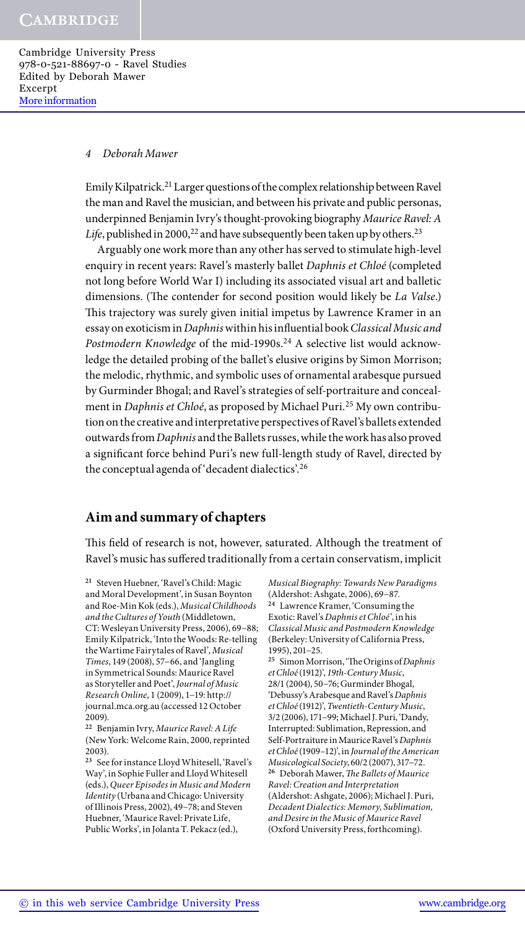## *4 Deborah Mawer*

Emily Kilpatrick.21 Larger questions of the complex relationship between Ravel the man and Ravel the musician, and between his private and public personas, underpinned Benjamin Ivry's thought-provoking biography *Maurice Ravel: A Life*, published in 2000,<sup>22</sup> and have subsequently been taken up by others.<sup>23</sup>

Arguably one work more than any other has served to stimulate high-level enquiry in recent years: Ravel's masterly ballet *Daphnis et Chloé* (completed not long before World War I) including its associated visual art and balletic dimensions. (The contender for second position would likely be *La Valse*.) This trajectory was surely given initial impetus by Lawrence Kramer in an essay on exoticism in *Daphnis* within his influential book *Classical Music and*  Postmodern Knowledge of the mid-1990s.<sup>24</sup> A selective list would acknowledge the detailed probing of the ballet's elusive origins by Simon Morrison; the melodic, rhythmic, and symbolic uses of ornamental arabesque pursued by Gurminder Bhogal; and Ravel's strategies of self-portraiture and concealment in *Daphnis et Chloé*, as proposed by Michael Puri.25 My own contribution on the creative and interpretative perspectives of Ravel's ballets extended outwards from *Daphnis* and the Ballets russes, while the work has also proved a significant force behind Puri's new full-length study of Ravel, directed by the conceptual agenda of 'decadent dialectics'.26

# **Aim and summary of chapters**

This field of research is not, however, saturated. Although the treatment of Ravel's music has suffered traditionally from a certain conservatism, implicit

*Musical Biography: Towards New Paradigms* (Aldershot: Ashgate, 2006), 69−87. **<sup>24</sup>** Lawrence Kramer, 'Consuming the Exotic: Ravel's *Daphnis et Chloé*', in his *Classical Music and Postmodern Knowledge* (Berkeley: University of California Press, 1995), 201−25.

**<sup>25</sup>** Simon Morrison, 'The Origins of *Daphnis et Chloé* (1912)', *19th-Century Music*, 28/1 (2004), 50−76; Gurminder Bhogal, 'Debussy's Arabesque and Ravel's *Daphnis et Chloé* (1912)', *Twentieth-Century Music*, 3/2 (2006), 171−99; Michael J. Puri, 'Dandy, Interrupted: Sublimation, Repression, and Self-Portraiture in Maurice Ravel's *Daphnis et Chloé* (1909–12)', in *Journal of the American Musicological Society*, 60/2 (2007), 317−72. **<sup>26</sup>** Deborah Mawer, *The Ballets of Maurice Ravel: Creation and Interpretation* (Aldershot: Ashgate, 2006); Michael J. Puri, *Decadent Dialectics: Memory, Sublimation, and Desire in the Music of Maurice Ravel* (Oxford University Press, forthcoming).

**<sup>21</sup>** Steven Huebner, 'Ravel's Child: Magic and Moral Development', in Susan Boynton and Roe-Min Kok (eds.), *Musical Childhoods and the Cultures of Youth* (Middletown, CT: Wesleyan University Press, 2006), 69−88; Emily Kilpatrick, 'Into the Woods: Re-telling the Wartime Fairytales of Ravel', *Musical Times*, 149 (2008), 57−66, and 'Jangling in Symmetrical Sounds: Maurice Ravel as Storyteller and Poet', *Journal of Music Research Online*, 1 (2009), 1−19: http:// journal.mca.org.au (accessed 12 October 2009).

**<sup>22</sup>** Benjamin Ivry, *Maurice Ravel: A Life* (New York: Welcome Rain, 2000, reprinted 2003).

**<sup>23</sup>** See for instance Lloyd Whitesell, 'Ravel's Way', in Sophie Fuller and Lloyd Whitesell (eds.), *Queer Episodes in Music and Modern Identity* (Urbana and Chicago: University of Illinois Press, 2002), 49−78; and Steven Huebner, 'Maurice Ravel: Private Life, Public Works', in Jolanta T. Pekacz (ed.),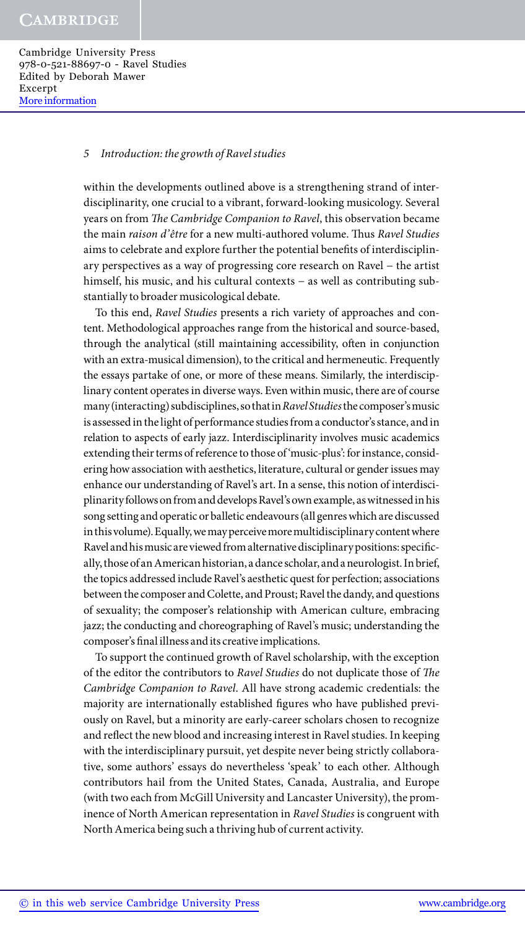# *5 Introduction: the growth of Ravel studies*

within the developments outlined above is a strengthening strand of interdisciplinarity, one crucial to a vibrant, forward-looking musicology. Several years on from *The Cambridge Companion to Ravel*, this observation became the main *raison d'être* for a new multi-authored volume. Thus *Ravel Studies* aims to celebrate and explore further the potential benefits of interdisciplinary perspectives as a way of progressing core research on Ravel − the artist himself, his music, and his cultural contexts − as well as contributing substantially to broader musicological debate.

To this end, *Ravel Studies* presents a rich variety of approaches and content. Methodological approaches range from the historical and source-based, through the analytical (still maintaining accessibility, often in conjunction with an extra-musical dimension), to the critical and hermeneutic. Frequently the essays partake of one, or more of these means. Similarly, the interdisciplinary content operates in diverse ways. Even within music, there are of course many (interacting) subdisciplines, so that in *Ravel Studies* the composer's music is assessed in the light of performance studies from a conductor's stance, and in relation to aspects of early jazz. Interdisciplinarity involves music academics extending their terms of reference to those of 'music-plus': for instance, considering how association with aesthetics, literature, cultural or gender issues may enhance our understanding of Ravel's art. In a sense, this notion of interdisciplinarity follows on from and develops Ravel's own example, as witnessed in his song setting and operatic or balletic endeavours (all genres which are discussed in this volume). Equally, we may perceive more multidisciplinary content where Ravel and his music are viewed from alternative disciplinary positions: specifically, those of an American historian, a dance scholar, and a neurologist. In brief, the topics addressed include Ravel's aesthetic quest for perfection; associations between the composer and Colette, and Proust; Ravel the dandy, and questions of sexuality; the composer's relationship with American culture, embracing jazz; the conducting and choreographing of Ravel's music; understanding the composer's final illness and its creative implications.

To support the continued growth of Ravel scholarship, with the exception of the editor the contributors to *Ravel Studies* do not duplicate those of *The Cambridge Companion to Ravel*. All have strong academic credentials: the majority are internationally established figures who have published previously on Ravel, but a minority are early-career scholars chosen to recognize and reflect the new blood and increasing interest in Ravel studies. In keeping with the interdisciplinary pursuit, yet despite never being strictly collaborative, some authors' essays do nevertheless 'speak' to each other. Although contributors hail from the United States, Canada, Australia, and Europe (with two each from McGill University and Lancaster University), the prominence of North American representation in *Ravel Studies* is congruent with North America being such a thriving hub of current activity.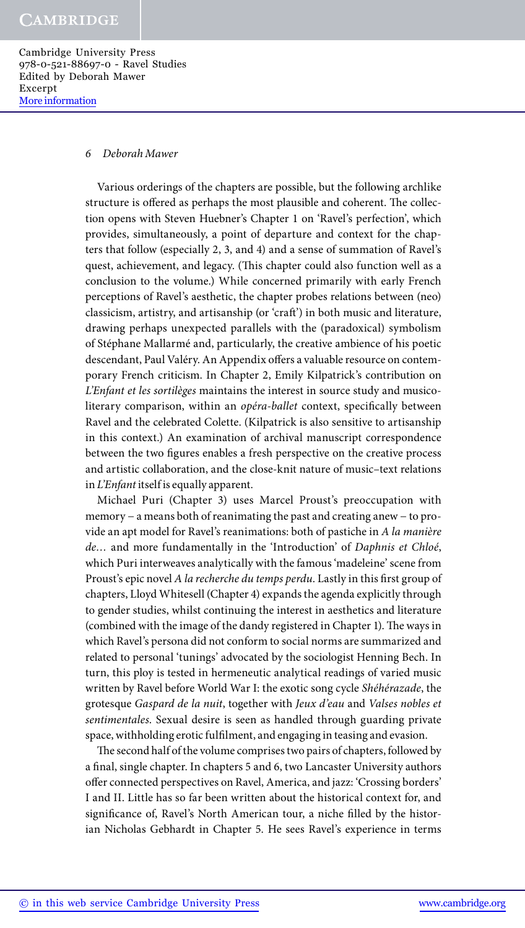# *6 Deborah Mawer*

Various orderings of the chapters are possible, but the following archlike structure is offered as perhaps the most plausible and coherent. The collection opens with Steven Huebner's Chapter 1 on 'Ravel's perfection', which provides, simultaneously, a point of departure and context for the chapters that follow (especially 2, 3, and 4) and a sense of summation of Ravel's quest, achievement, and legacy. (This chapter could also function well as a conclusion to the volume.) While concerned primarily with early French perceptions of Ravel's aesthetic, the chapter probes relations between (neo) classicism, artistry, and artisanship (or 'craft') in both music and literature, drawing perhaps unexpected parallels with the (paradoxical) symbolism of Stéphane Mallarmé and, particularly, the creative ambience of his poetic descendant, Paul Valéry. An Appendix offers a valuable resource on contemporary French criticism. In Chapter 2, Emily Kilpatrick's contribution on *L'Enfant et les sortilèges* maintains the interest in source study and musicoliterary comparison, within an *opéra-ballet* context, specifically between Ravel and the celebrated Colette. (Kilpatrick is also sensitive to artisanship in this context.) An examination of archival manuscript correspondence between the two figures enables a fresh perspective on the creative process and artistic collaboration, and the close-knit nature of music–text relations in *L'Enfant* itself is equally apparent.

Michael Puri (Chapter 3) uses Marcel Proust's preoccupation with memory − a means both of reanimating the past and creating anew − to provide an apt model for Ravel's reanimations: both of pastiche in *A la manière de…* and more fundamentally in the 'Introduction' of *Daphnis et Chloé*, which Puri interweaves analytically with the famous 'madeleine' scene from Proust's epic novel *A la recherche du temps perdu*. Lastly in this first group of chapters, Lloyd Whitesell (Chapter 4) expands the agenda explicitly through to gender studies, whilst continuing the interest in aesthetics and literature (combined with the image of the dandy registered in Chapter 1). The ways in which Ravel's persona did not conform to social norms are summarized and related to personal 'tunings' advocated by the sociologist Henning Bech. In turn, this ploy is tested in hermeneutic analytical readings of varied music written by Ravel before World War I: the exotic song cycle *Shéhérazade*, the grotesque *Gaspard de la nuit*, together with *Jeux d'eau* and *Valses nobles et sentimentales*. Sexual desire is seen as handled through guarding private space, withholding erotic fulfilment, and engaging in teasing and evasion.

The second half of the volume comprises two pairs of chapters, followed by a final, single chapter. In chapters 5 and 6, two Lancaster University authors offer connected perspectives on Ravel, America, and jazz: 'Crossing borders' I and II. Little has so far been written about the historical context for, and significance of, Ravel's North American tour, a niche filled by the historian Nicholas Gebhardt in Chapter 5. He sees Ravel's experience in terms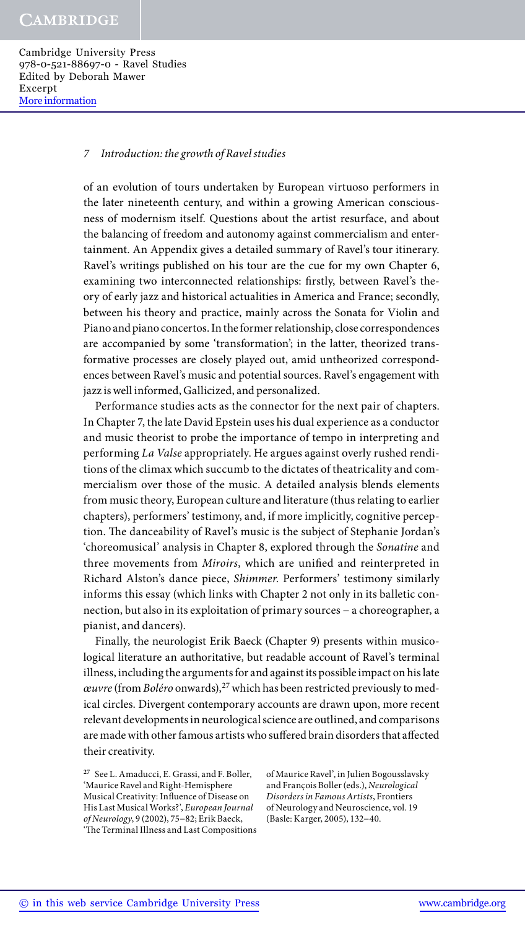#### *7 Introduction: the growth of Ravel studies*

of an evolution of tours undertaken by European virtuoso performers in the later nineteenth century, and within a growing American consciousness of modernism itself. Questions about the artist resurface, and about the balancing of freedom and autonomy against commercialism and entertainment. An Appendix gives a detailed summary of Ravel's tour itinerary. Ravel's writings published on his tour are the cue for my own Chapter 6, examining two interconnected relationships: firstly, between Ravel's theory of early jazz and historical actualities in America and France; secondly, between his theory and practice, mainly across the Sonata for Violin and Piano and piano concertos. In the former relationship, close correspondences are accompanied by some 'transformation'; in the latter, theorized transformative processes are closely played out, amid untheorized correspondences between Ravel's music and potential sources. Ravel's engagement with jazz is well informed, Gallicized, and personalized.

Performance studies acts as the connector for the next pair of chapters. In Chapter 7, the late David Epstein uses his dual experience as a conductor and music theorist to probe the importance of tempo in interpreting and performing *La Valse* appropriately. He argues against overly rushed renditions of the climax which succumb to the dictates of theatricality and commercialism over those of the music. A detailed analysis blends elements from music theory, European culture and literature (thus relating to earlier chapters), performers' testimony, and, if more implicitly, cognitive perception. The danceability of Ravel's music is the subject of Stephanie Jordan's 'choreomusical' analysis in Chapter 8, explored through the *Sonatine* and three movements from *Miroirs*, which are unified and reinterpreted in Richard Alston's dance piece, *Shimmer*. Performers' testimony similarly informs this essay (which links with Chapter 2 not only in its balletic connection, but also in its exploitation of primary sources − a choreographer, a pianist, and dancers).

Finally, the neurologist Erik Baeck (Chapter 9) presents within musicological literature an authoritative, but readable account of Ravel's terminal illness, including the arguments for and against its possible impact on his late *œuvre* (from *Boléro* onwards),<sup>27</sup> which has been restricted previously to medical circles. Divergent contemporary accounts are drawn upon, more recent relevant developments in neurological science are outlined, and comparisons are made with other famous artists who suffered brain disorders that affected their creativity.

of Maurice Ravel', in Julien Bogousslavsky and François Boller (eds.), *Neurological Disorders in Famous Artists*, Frontiers of Neurology and Neuroscience, vol. 19 (Basle: Karger, 2005), 132−40.

**<sup>27</sup>** See L. Amaducci, E. Grassi, and F. Boller, 'Maurice Ravel and Right-Hemisphere Musical Creativity: Influence of Disease on His Last Musical Works?', *European Journal of Neurology*, 9 (2002), 75−82; Erik Baeck, 'The Terminal Illness and Last Compositions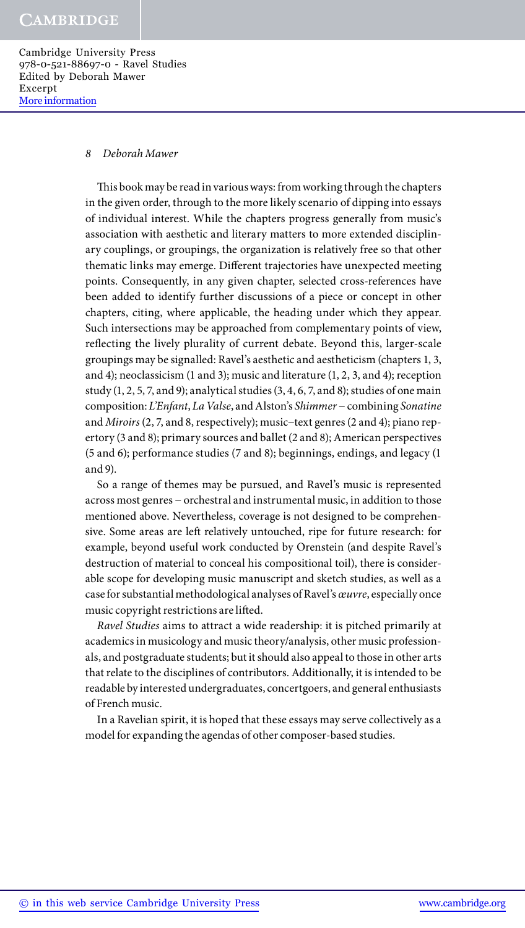#### *8 Deborah Mawer*

This book may be read in various ways: from working through the chapters in the given order, through to the more likely scenario of dipping into essays of individual interest. While the chapters progress generally from music's association with aesthetic and literary matters to more extended disciplinary couplings, or groupings, the organization is relatively free so that other thematic links may emerge. Different trajectories have unexpected meeting points. Consequently, in any given chapter, selected cross-references have been added to identify further discussions of a piece or concept in other chapters, citing, where applicable, the heading under which they appear. Such intersections may be approached from complementary points of view, reflecting the lively plurality of current debate. Beyond this, larger-scale groupings may be signalled: Ravel's aesthetic and aestheticism (chapters 1, 3, and 4); neoclassicism (1 and 3); music and literature (1, 2, 3, and 4); reception study  $(1, 2, 5, 7, and 9)$ ; analytical studies  $(3, 4, 6, 7, and 8)$ ; studies of one main composition: *L'Enfant*, *La Valse*, and Alston's *Shimmer* − combining *Sonatine* and *Miroirs* (2, 7, and 8, respectively); music−text genres (2 and 4); piano repertory (3 and 8); primary sources and ballet (2 and 8); American perspectives (5 and 6); performance studies (7 and 8); beginnings, endings, and legacy (1 and 9).

So a range of themes may be pursued, and Ravel's music is represented across most genres − orchestral and instrumental music, in addition to those mentioned above. Nevertheless, coverage is not designed to be comprehensive. Some areas are left relatively untouched, ripe for future research: for example, beyond useful work conducted by Orenstein (and despite Ravel's destruction of material to conceal his compositional toil), there is considerable scope for developing music manuscript and sketch studies, as well as a case for substantial methodological analyses of Ravel's *œuvre*, especially once music copyright restrictions are lifted.

*Ravel Studies* aims to attract a wide readership: it is pitched primarily at academics in musicology and music theory/analysis, other music professionals, and postgraduate students; but it should also appeal to those in other arts that relate to the disciplines of contributors. Additionally, it is intended to be readable by interested undergraduates, concertgoers, and general enthusiasts of French music.

In a Ravelian spirit, it is hoped that these essays may serve collectively as a model for expanding the agendas of other composer-based studies.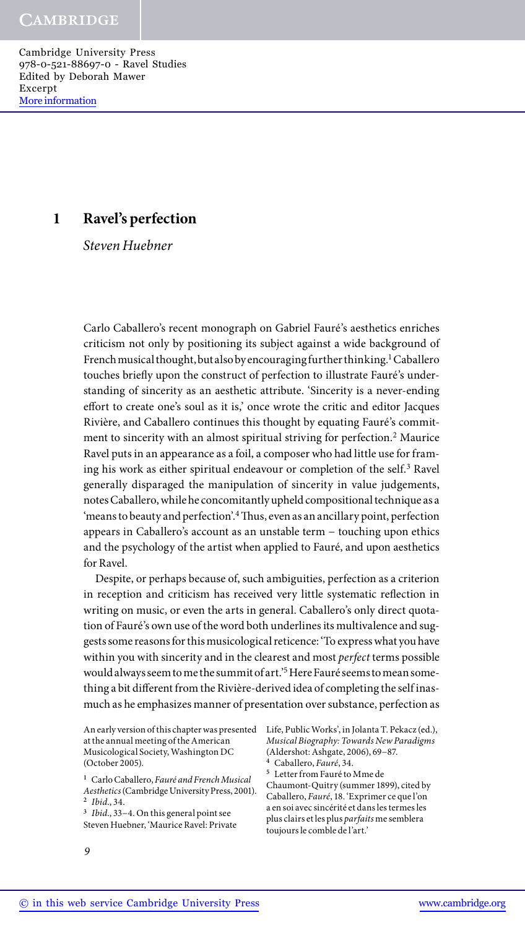# **1 Ravel's perfection**

*Steven Huebner*

Carlo Caballero's recent monograph on Gabriel Fauré's aesthetics enriches criticism not only by positioning its subject against a wide background of French musical thought, but also by encouraging further thinking.<sup>1</sup> Caballero touches briefly upon the construct of perfection to illustrate Fauré's understanding of sincerity as an aesthetic attribute. 'Sincerity is a never-ending effort to create one's soul as it is,' once wrote the critic and editor Jacques Rivière, and Caballero continues this thought by equating Fauré's commitment to sincerity with an almost spiritual striving for perfection.<sup>2</sup> Maurice Ravel puts in an appearance as a foil, a composer who had little use for framing his work as either spiritual endeavour or completion of the self.<sup>3</sup> Ravel generally disparaged the manipulation of sincerity in value judgements, notes Caballero, while he concomitantly upheld compositional technique as a 'means to beauty and perfection'.<sup>4</sup> Thus, even as an ancillary point, perfection appears in Caballero's account as an unstable term − touching upon ethics and the psychology of the artist when applied to Fauré, and upon aesthetics for Ravel.

Despite, or perhaps because of, such ambiguities, perfection as a criterion in reception and criticism has received very little systematic reflection in writing on music, or even the arts in general. Caballero's only direct quotation of Fauré's own use of the word both underlines its multivalence and suggests some reasons for this musicological reticence: 'To express what you have within you with sincerity and in the clearest and most *perfect* terms possible would always seem to me the summit of art.'5 Here Fauré seems to mean something a bit different from the Rivière-derived idea of completing the self inasmuch as he emphasizes manner of presentation over substance, perfection as

An early version of this chapter was presented Life, Public Works', in Jolanta T. Pekacz (ed.), at the annual meeting of the American Musicological Society, Washington DC (October 2005).

**<sup>3</sup>** *Ibid*., 33−4. On this general point see Steven Huebner, 'Maurice Ravel: Private *Musical Biography: Towards New Paradigms* (Aldershot: Ashgate, 2006), 69−87.

**<sup>4</sup>** Caballero, *Fauré*, 34.

**<sup>5</sup>** Letter from Fauré to Mme de

Chaumont-Quitry (summer 1899), cited by Caballero, *Fauré*, 18. 'Exprimer ce que l'on a en soi avec sincérité et dans les termes les plus clairs et les plus *parfaits* me semblera toujours le comble de l'art.'

**<sup>1</sup>** Carlo Caballero, *Fauré and French Musical Aesthetics* (Cambridge University Press, 2001). **<sup>2</sup>** *Ibid*., 34.